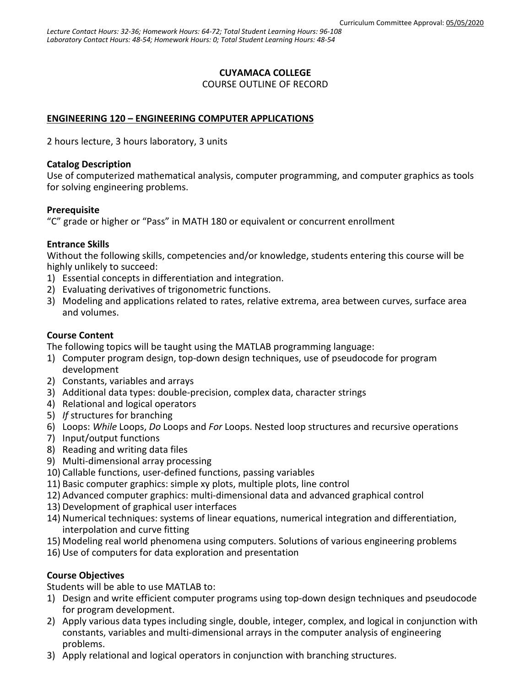## **CUYAMACA COLLEGE**

COURSE OUTLINE OF RECORD

## **ENGINEERING 120 – ENGINEERING COMPUTER APPLICATIONS**

2 hours lecture, 3 hours laboratory, 3 units

#### **Catalog Description**

Use of computerized mathematical analysis, computer programming, and computer graphics as tools for solving engineering problems.

### **Prerequisite**

"C" grade or higher or "Pass" in MATH 180 or equivalent or concurrent enrollment

### **Entrance Skills**

Without the following skills, competencies and/or knowledge, students entering this course will be highly unlikely to succeed:

- 1) Essential concepts in differentiation and integration.
- 2) Evaluating derivatives of trigonometric functions.
- 3) Modeling and applications related to rates, relative extrema, area between curves, surface area and volumes.

## **Course Content**

The following topics will be taught using the MATLAB programming language:

- 1) Computer program design, top-down design techniques, use of pseudocode for program development
- 2) Constants, variables and arrays
- 3) Additional data types: double-precision, complex data, character strings
- 4) Relational and logical operators
- 5) *If* structures for branching
- 6) Loops: *While* Loops, *Do* Loops and *For* Loops. Nested loop structures and recursive operations
- 7) Input/output functions
- 8) Reading and writing data files
- 9) Multi-dimensional array processing
- 10) Callable functions, user-defined functions, passing variables
- 11) Basic computer graphics: simple xy plots, multiple plots, line control
- 12) Advanced computer graphics: multi-dimensional data and advanced graphical control
- 13) Development of graphical user interfaces
- 14) Numerical techniques: systems of linear equations, numerical integration and differentiation, interpolation and curve fitting
- 15) Modeling real world phenomena using computers. Solutions of various engineering problems
- 16) Use of computers for data exploration and presentation

### **Course Objectives**

Students will be able to use MATLAB to:

- 1) Design and write efficient computer programs using top-down design techniques and pseudocode for program development.
- 2) Apply various data types including single, double, integer, complex, and logical in conjunction with constants, variables and multi-dimensional arrays in the computer analysis of engineering problems.
- 3) Apply relational and logical operators in conjunction with branching structures.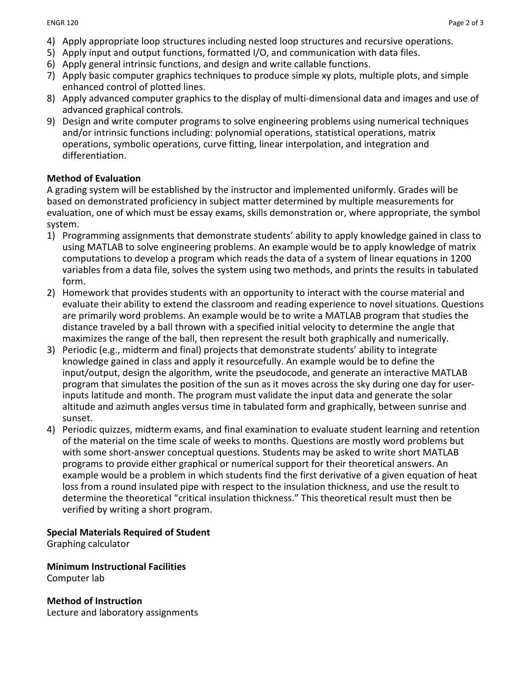- 4) Apply appropriate loop structures including nested loop structures and recursive operations.
- 5) Apply input and output functions, formatted I/O, and communication with data files.
- 6) Apply general intrinsic functions, and design and write callable functions.
- 7) Apply basic computer graphics techniques to produce simple xy plots, multiple plots, and simple enhanced control of plotted lines.
- 8) Apply advanced computer graphics to the display of multi-dimensional data and images and use of advanced graphical controls.
- 9) Design and write computer programs to solve engineering problems using numerical techniques and/or intrinsic functions including: polynomial operations, statistical operations, matrix operations, symbolic operations, curve fitting, linear interpolation, and integration and differentiation.

## **Method of Evaluation**

A grading system will be established by the instructor and implemented uniformly. Grades will be based on demonstrated proficiency in subject matter determined by multiple measurements for evaluation, one of which must be essay exams, skills demonstration or, where appropriate, the symbol system.

- 1) Programming assignments that demonstrate students' ability to apply knowledge gained in class to using MATLAB to solve engineering problems. An example would be to apply knowledge of matrix computations to develop a program which reads the data of a system of linear equations in 1200 variables from a data file, solves the system using two methods, and prints the results in tabulated form.
- 2) Homework that provides students with an opportunity to interact with the course material and evaluate their ability to extend the classroom and reading experience to novel situations. Questions are primarily word problems. An example would be to write a MATLAB program that studies the distance traveled by a ball thrown with a specified initial velocity to determine the angle that maximizes the range of the ball, then represent the result both graphically and numerically.
- 3) Periodic (e.g., midterm and final) projects that demonstrate students' ability to integrate knowledge gained in class and apply it resourcefully. An example would be to define the input/output, design the algorithm, write the pseudocode, and generate an interactive MATLAB program that simulates the position of the sun as it moves across the sky during one day for userinputs latitude and month. The program must validate the input data and generate the solar altitude and azimuth angles versus time in tabulated form and graphically, between sunrise and sunset.
- 4) Periodic quizzes, midterm exams, and final examination to evaluate student learning and retention of the material on the time scale of weeks to months. Questions are mostly word problems but with some short-answer conceptual questions. Students may be asked to write short MATLAB programs to provide either graphical or numerical support for their theoretical answers. An example would be a problem in which students find the first derivative of a given equation of heat loss from a round insulated pipe with respect to the insulation thickness, and use the result to determine the theoretical "critical insulation thickness." This theoretical result must then be verified by writing a short program.

### **Special Materials Required of Student**

Graphing calculator

**Minimum Instructional Facilities** Computer lab

**Method of Instruction** Lecture and laboratory assignments